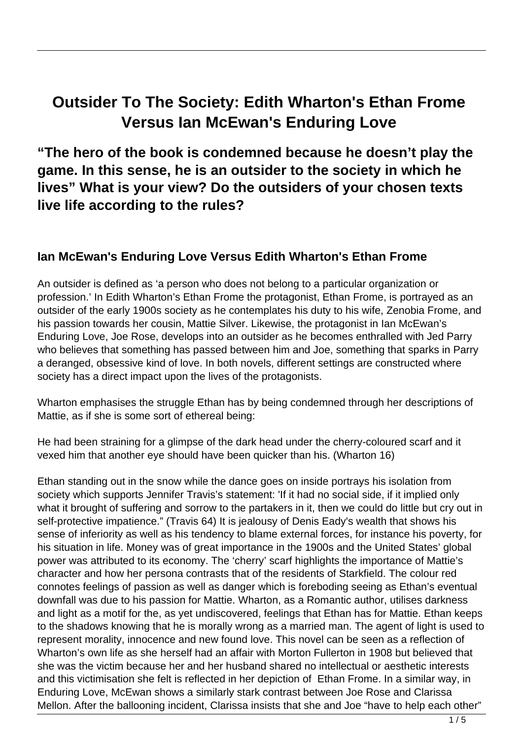## **Outsider To The Society: Edith Wharton's Ethan Frome Versus Ian McEwan's Enduring Love**

**"The hero of the book is condemned because he doesn't play the game. In this sense, he is an outsider to the society in which he lives" What is your view? Do the outsiders of your chosen texts live life according to the rules?**

## **Ian McEwan's Enduring Love Versus Edith Wharton's Ethan Frome**

An outsider is defined as 'a person who does not belong to a particular organization or profession.' In Edith Wharton's Ethan Frome the protagonist, Ethan Frome, is portrayed as an outsider of the early 1900s society as he contemplates his duty to his wife, Zenobia Frome, and his passion towards her cousin, Mattie Silver. Likewise, the protagonist in Ian McEwan's Enduring Love, Joe Rose, develops into an outsider as he becomes enthralled with Jed Parry who believes that something has passed between him and Joe, something that sparks in Parry a deranged, obsessive kind of love. In both novels, different settings are constructed where society has a direct impact upon the lives of the protagonists.

Wharton emphasises the struggle Ethan has by being condemned through her descriptions of Mattie, as if she is some sort of ethereal being:

He had been straining for a glimpse of the dark head under the cherry-coloured scarf and it vexed him that another eye should have been quicker than his. (Wharton 16)

Ethan standing out in the snow while the dance goes on inside portrays his isolation from society which supports Jennifer Travis's statement: 'If it had no social side, if it implied only what it brought of suffering and sorrow to the partakers in it, then we could do little but cry out in self-protective impatience." (Travis 64) It is jealousy of Denis Eady's wealth that shows his sense of inferiority as well as his tendency to blame external forces, for instance his poverty, for his situation in life. Money was of great importance in the 1900s and the United States' global power was attributed to its economy. The 'cherry' scarf highlights the importance of Mattie's character and how her persona contrasts that of the residents of Starkfield. The colour red connotes feelings of passion as well as danger which is foreboding seeing as Ethan's eventual downfall was due to his passion for Mattie. Wharton, as a Romantic author, utilises darkness and light as a motif for the, as yet undiscovered, feelings that Ethan has for Mattie. Ethan keeps to the shadows knowing that he is morally wrong as a married man. The agent of light is used to represent morality, innocence and new found love. This novel can be seen as a reflection of Wharton's own life as she herself had an affair with Morton Fullerton in 1908 but believed that she was the victim because her and her husband shared no intellectual or aesthetic interests and this victimisation she felt is reflected in her depiction of Ethan Frome. In a similar way, in Enduring Love, McEwan shows a similarly stark contrast between Joe Rose and Clarissa Mellon. After the ballooning incident, Clarissa insists that she and Joe "have to help each other"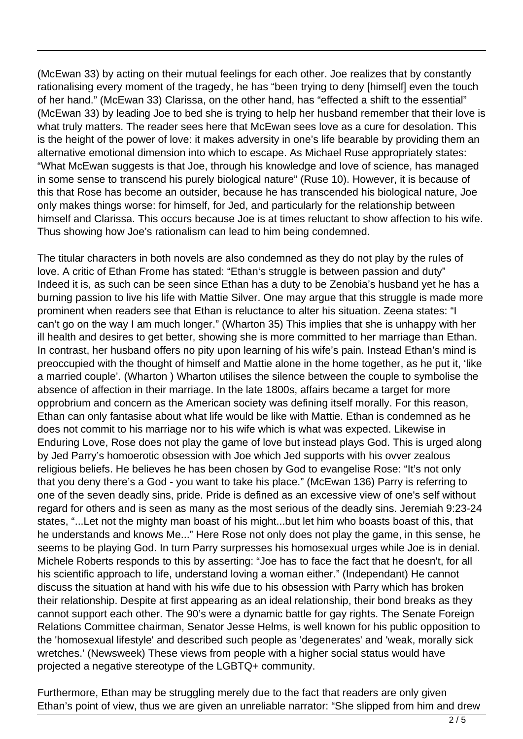(McEwan 33) by acting on their mutual feelings for each other. Joe realizes that by constantly rationalising every moment of the tragedy, he has "been trying to deny [himself] even the touch of her hand." (McEwan 33) Clarissa, on the other hand, has "effected a shift to the essential" (McEwan 33) by leading Joe to bed she is trying to help her husband remember that their love is what truly matters. The reader sees here that McEwan sees love as a cure for desolation. This is the height of the power of love: it makes adversity in one's life bearable by providing them an alternative emotional dimension into which to escape. As Michael Ruse appropriately states: "What McEwan suggests is that Joe, through his knowledge and love of science, has managed in some sense to transcend his purely biological nature" (Ruse 10). However, it is because of this that Rose has become an outsider, because he has transcended his biological nature, Joe only makes things worse: for himself, for Jed, and particularly for the relationship between himself and Clarissa. This occurs because Joe is at times reluctant to show affection to his wife. Thus showing how Joe's rationalism can lead to him being condemned.

The titular characters in both novels are also condemned as they do not play by the rules of love. A critic of Ethan Frome has stated: "Ethan's struggle is between passion and duty" Indeed it is, as such can be seen since Ethan has a duty to be Zenobia's husband yet he has a burning passion to live his life with Mattie Silver. One may argue that this struggle is made more prominent when readers see that Ethan is reluctance to alter his situation. Zeena states: "I can't go on the way I am much longer." (Wharton 35) This implies that she is unhappy with her ill health and desires to get better, showing she is more committed to her marriage than Ethan. In contrast, her husband offers no pity upon learning of his wife's pain. Instead Ethan's mind is preoccupied with the thought of himself and Mattie alone in the home together, as he put it, 'like a married couple'. (Wharton ) Wharton utilises the silence between the couple to symbolise the absence of affection in their marriage. In the late 1800s, affairs became a target for more opprobrium and concern as the American society was defining itself morally. For this reason, Ethan can only fantasise about what life would be like with Mattie. Ethan is condemned as he does not commit to his marriage nor to his wife which is what was expected. Likewise in Enduring Love, Rose does not play the game of love but instead plays God. This is urged along by Jed Parry's homoerotic obsession with Joe which Jed supports with his ovver zealous religious beliefs. He believes he has been chosen by God to evangelise Rose: "It's not only that you deny there's a God - you want to take his place." (McEwan 136) Parry is referring to one of the seven deadly sins, pride. Pride is defined as an excessive view of one's self without regard for others and is seen as many as the most serious of the deadly sins. Jeremiah 9:23-24 states, "...Let not the mighty man boast of his might...but let him who boasts boast of this, that he understands and knows Me..." Here Rose not only does not play the game, in this sense, he seems to be playing God. In turn Parry surpresses his homosexual urges while Joe is in denial. Michele Roberts responds to this by asserting: "Joe has to face the fact that he doesn't, for all his scientific approach to life, understand loving a woman either." (Independant) He cannot discuss the situation at hand with his wife due to his obsession with Parry which has broken their relationship. Despite at first appearing as an ideal relationship, their bond breaks as they cannot support each other. The 90's were a dynamic battle for gay rights. The Senate Foreign Relations Committee chairman, Senator Jesse Helms, is well known for his public opposition to the 'homosexual lifestyle' and described such people as 'degenerates' and 'weak, morally sick wretches.' (Newsweek) These views from people with a higher social status would have projected a negative stereotype of the LGBTQ+ community.

Furthermore, Ethan may be struggling merely due to the fact that readers are only given Ethan's point of view, thus we are given an unreliable narrator: "She slipped from him and drew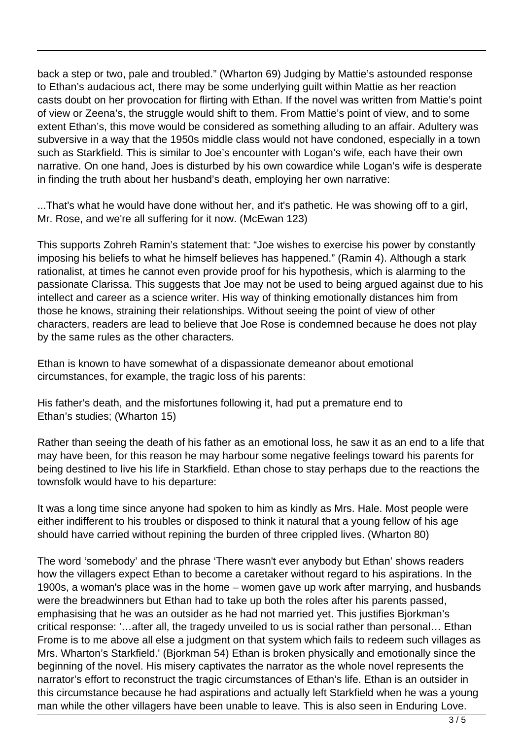back a step or two, pale and troubled." (Wharton 69) Judging by Mattie's astounded response to Ethan's audacious act, there may be some underlying guilt within Mattie as her reaction casts doubt on her provocation for flirting with Ethan. If the novel was written from Mattie's point of view or Zeena's, the struggle would shift to them. From Mattie's point of view, and to some extent Ethan's, this move would be considered as something alluding to an affair. Adultery was subversive in a way that the 1950s middle class would not have condoned, especially in a town such as Starkfield. This is similar to Joe's encounter with Logan's wife, each have their own narrative. On one hand, Joes is disturbed by his own cowardice while Logan's wife is desperate in finding the truth about her husband's death, employing her own narrative:

...That's what he would have done without her, and it's pathetic. He was showing off to a girl, Mr. Rose, and we're all suffering for it now. (McEwan 123)

This supports Zohreh Ramin's statement that: "Joe wishes to exercise his power by constantly imposing his beliefs to what he himself believes has happened." (Ramin 4). Although a stark rationalist, at times he cannot even provide proof for his hypothesis, which is alarming to the passionate Clarissa. This suggests that Joe may not be used to being argued against due to his intellect and career as a science writer. His way of thinking emotionally distances him from those he knows, straining their relationships. Without seeing the point of view of other characters, readers are lead to believe that Joe Rose is condemned because he does not play by the same rules as the other characters.

Ethan is known to have somewhat of a dispassionate demeanor about emotional circumstances, for example, the tragic loss of his parents:

His father's death, and the misfortunes following it, had put a premature end to Ethan's studies; (Wharton 15)

Rather than seeing the death of his father as an emotional loss, he saw it as an end to a life that may have been, for this reason he may harbour some negative feelings toward his parents for being destined to live his life in Starkfield. Ethan chose to stay perhaps due to the reactions the townsfolk would have to his departure:

It was a long time since anyone had spoken to him as kindly as Mrs. Hale. Most people were either indifferent to his troubles or disposed to think it natural that a young fellow of his age should have carried without repining the burden of three crippled lives. (Wharton 80)

The word 'somebody' and the phrase 'There wasn't ever anybody but Ethan' shows readers how the villagers expect Ethan to become a caretaker without regard to his aspirations. In the 1900s, a woman's place was in the home – women gave up work after marrying, and husbands were the breadwinners but Ethan had to take up both the roles after his parents passed, emphasising that he was an outsider as he had not married yet. This justifies Bjorkman's critical response: '…after all, the tragedy unveiled to us is social rather than personal… Ethan Frome is to me above all else a judgment on that system which fails to redeem such villages as Mrs. Wharton's Starkfield.' (Bjorkman 54) Ethan is broken physically and emotionally since the beginning of the novel. His misery captivates the narrator as the whole novel represents the narrator's effort to reconstruct the tragic circumstances of Ethan's life. Ethan is an outsider in this circumstance because he had aspirations and actually left Starkfield when he was a young man while the other villagers have been unable to leave. This is also seen in Enduring Love.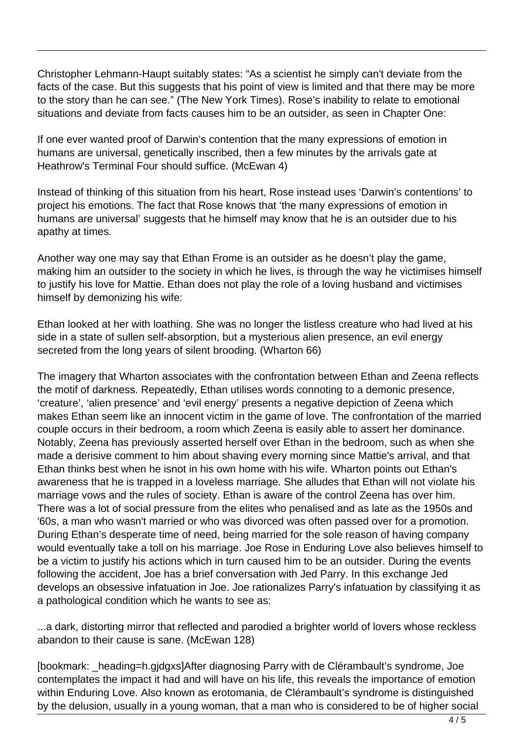Christopher Lehmann-Haupt suitably states: "As a scientist he simply can't deviate from the facts of the case. But this suggests that his point of view is limited and that there may be more to the story than he can see." (The New York Times). Rose's inability to relate to emotional situations and deviate from facts causes him to be an outsider, as seen in Chapter One:

If one ever wanted proof of Darwin's contention that the many expressions of emotion in humans are universal, genetically inscribed, then a few minutes by the arrivals gate at Heathrow's Terminal Four should suffice. (McEwan 4)

Instead of thinking of this situation from his heart, Rose instead uses 'Darwin's contentions' to project his emotions. The fact that Rose knows that 'the many expressions of emotion in humans are universal' suggests that he himself may know that he is an outsider due to his apathy at times.

Another way one may say that Ethan Frome is an outsider as he doesn't play the game, making him an outsider to the society in which he lives, is through the way he victimises himself to justify his love for Mattie. Ethan does not play the role of a loving husband and victimises himself by demonizing his wife:

Ethan looked at her with loathing. She was no longer the listless creature who had lived at his side in a state of sullen self-absorption, but a mysterious alien presence, an evil energy secreted from the long years of silent brooding. (Wharton 66)

The imagery that Wharton associates with the confrontation between Ethan and Zeena reflects the motif of darkness. Repeatedly, Ethan utilises words connoting to a demonic presence, 'creature', 'alien presence' and 'evil energy' presents a negative depiction of Zeena which makes Ethan seem like an innocent victim in the game of love. The confrontation of the married couple occurs in their bedroom, a room which Zeena is easily able to assert her dominance. Notably, Zeena has previously asserted herself over Ethan in the bedroom, such as when she made a derisive comment to him about shaving every morning since Mattie's arrival, and that Ethan thinks best when he isnot in his own home with his wife. Wharton points out Ethan's awareness that he is trapped in a loveless marriage. She alludes that Ethan will not violate his marriage vows and the rules of society. Ethan is aware of the control Zeena has over him. There was a lot of social pressure from the elites who penalised and as late as the 1950s and '60s, a man who wasn't married or who was divorced was often passed over for a promotion. During Ethan's desperate time of need, being married for the sole reason of having company would eventually take a toll on his marriage. Joe Rose in Enduring Love also believes himself to be a victim to justify his actions which in turn caused him to be an outsider. During the events following the accident, Joe has a brief conversation with Jed Parry. In this exchange Jed develops an obsessive infatuation in Joe. Joe rationalizes Parry's infatuation by classifying it as a pathological condition which he wants to see as:

...a dark, distorting mirror that reflected and parodied a brighter world of lovers whose reckless abandon to their cause is sane. (McEwan 128)

[bookmark: \_heading=h.gjdgxs]After diagnosing Parry with de Clérambault's syndrome, Joe contemplates the impact it had and will have on his life, this reveals the importance of emotion within Enduring Love. Also known as erotomania, de Clérambault's syndrome is distinguished by the delusion, usually in a young woman, that a man who is considered to be of higher social